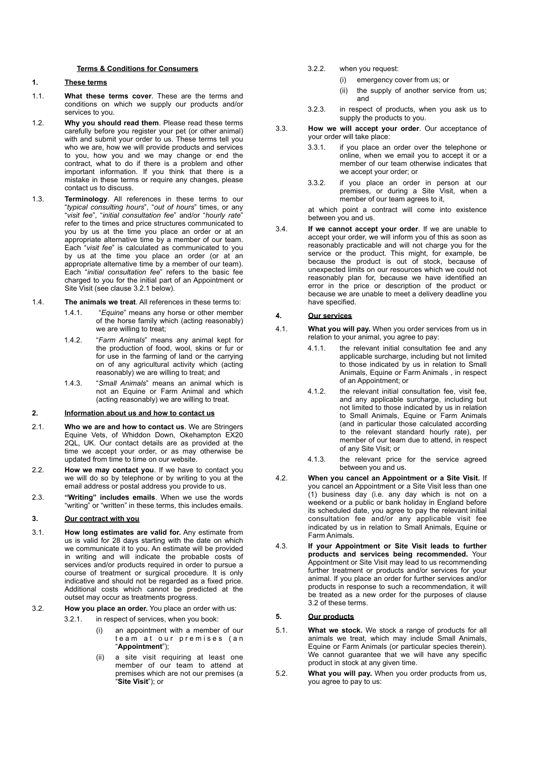#### **Terms & Conditions for Consumers**

## **1. These terms**

- 1.1. **What these terms cover**. These are the terms and conditions on which we supply our products and/or services to you.
- 1.2. **Why you should read them**. Please read these terms carefully before you register your pet (or other animal) with and submit your order to us. These terms tell you who we are, how we will provide products and services to you, how you and we may change or end the contract, what to do if there is a problem and other important information. If you think that there is a mistake in these terms or require any changes, please contact us to discuss.
- 1.3. **Terminology**. All references in these terms to our "*typical consulting hours*", "*out of hours*" times, or any "*visit fee*", "*initial consultation fee*" and/or "*hourly rate*" refer to the times and price structures communicated to you by us at the time you place an order or at an appropriate alternative time by a member of our team. Each "*visit fee*" is calculated as communicated to you by us at the time you place an order (or at an appropriate alternative time by a member of our team). Each "*initial consultation fee*" refers to the basic fee charged to you for the initial part of an Appointment or Site Visit (see clause [3.2.1](#page-0-0) below).
- 1.4. **The animals we treat**. All references in these terms to:
	- 1.4.1. "*Equine*" means any horse or other member of the horse family which (acting reasonably) we are willing to treat;
	- 1.4.2. "*Farm Animals*" means any animal kept for the production of food, wool, skins or fur or for use in the farming of land or the carrying on of any agricultural activity which (acting reasonably) we are willing to treat; and
	- 1.4.3. "*Small Animals*" means an animal which is not an Equine or Farm Animal and which (acting reasonably) we are willing to treat.

## **2. Information about us and how to contact us**

- 2.1. **Who we are and how to contact us**. We are Stringers Equine Vets, of Whiddon Down, Okehampton EX20 2QL, UK. Our contact details are as provided at the time we accept your order, or as may otherwise be updated from time to time on our website.
- 2.2. **How we may contact you**. If we have to contact you we will do so by telephone or by writing to you at the email address or postal address you provide to us.
- 2.3. **"Writing" includes emails**. When we use the words "writing" or "written" in these terms, this includes emails.

## **3. Our contract with you**

- <span id="page-0-2"></span>3.1. **How long estimates are valid for.** Any estimate from us is valid for 28 days starting with the date on which we communicate it to you. An estimate will be provided in writing and will indicate the probable costs of services and/or products required in order to pursue a course of treatment or surgical procedure. It is only indicative and should not be regarded as a fixed price. Additional costs which cannot be predicted at the outset may occur as treatments progress.
- 3.2. **How you place an order.** You place an order with us:

<span id="page-0-1"></span>3.2.1. in respect of services, when you book:

- <span id="page-0-0"></span>(i) an appointment with a member of our team at our premises (an "**Appointment**");
- (ii) a site visit requiring at least one member of our team to attend at premises which are not our premises (a "**Site Visit**"); or
- 3.2.2. when you request:
	- (i) emergency cover from us; or
	- (ii) the supply of another service from us; and
- 3.2.3. in respect of products, when you ask us to supply the products to you.
- 3.3. **How we will accept your order**. Our acceptance of your order will take place:
	- 3.3.1. if you place an order over the telephone or online, when we email you to accept it or a member of our team otherwise indicates that we accept your order; or
	- 3.3.2. if you place an order in person at our premises, or during a Site Visit, when a member of our team agrees to it,

at which point a contract will come into existence between you and us.

3.4. **If we cannot accept your order**. If we are unable to accept your order, we will inform you of this as soon as reasonably practicable and will not charge you for the service or the product. This might, for example, be because the product is out of stock, because of unexpected limits on our resources which we could not reasonably plan for, because we have identified an error in the price or description of the product or because we are unable to meet a delivery deadline you have specified.

#### <span id="page-0-4"></span>**4. Our services**

- <span id="page-0-5"></span>4.1. **What you will pay.** When you order services from us in relation to your animal, you agree to pay:
	- 4.1.1. the relevant initial consultation fee and any applicable surcharge, including but not limited to those indicated by us in relation to Small Animals, Equine or Farm Animals , in respect of an Appointment; or
	- 4.1.2. the relevant initial consultation fee, visit fee, and any applicable surcharge, including but not limited to those indicated by us in relation to Small Animals, Equine or Farm Animals (and in particular those calculated according to the relevant standard hourly rate), per member of our team due to attend, in respect of any Site Visit; or
	- 4.1.3. the relevant price for the service agreed between you and us.
- <span id="page-0-6"></span>4.2. **When you cancel an Appointment or a Site Visit.** If you cancel an Appointment or a Site Visit less than one (1) business day (i.e. any day which is not on a weekend or a public or bank holiday in England before its scheduled date, you agree to pay the relevant initial consultation fee and/or any applicable visit fee indicated by us in relation to Small Animals, Equine or Farm Animals.
- 4.3. **If your Appointment or Site Visit leads to further products and services being recommended.** Your Appointment or Site Visit may lead to us recommending further treatment or products and/or services for your animal. If you place an order for further services and/or products in response to such a recommendation, it will be treated as a new order for the purposes of clause [3.2](#page-0-1) of these terms.

## <span id="page-0-3"></span>**5. Our products**

- 5.1. **What we stock.** We stock a range of products for all animals we treat, which may include Small Animals, Equine or Farm Animals (or particular species therein). We cannot guarantee that we will have any specific product in stock at any given time.
- 5.2. **What you will pay.** When you order products from us, you agree to pay to us: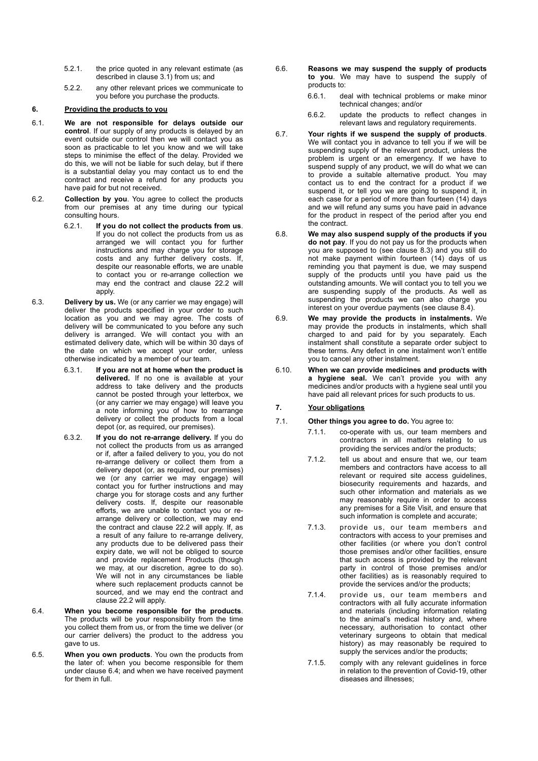- 5.2.1. the price quoted in any relevant estimate (as described in clause [3.1](#page-0-2)) from us; and
- <span id="page-1-3"></span>5.2.2. any other relevant prices we communicate to you before you purchase the products.

## **6. Providing the products to you**

- 6.1. **We are not responsible for delays outside our control**. If our supply of any products is delayed by an event outside our control then we will contact you as soon as practicable to let you know and we will take steps to minimise the effect of the delay. Provided we do this, we will not be liable for such delay, but if there is a substantial delay you may contact us to end the contract and receive a refund for any products you have paid for but not received.
- <span id="page-1-2"></span>6.2. **Collection by you**. You agree to collect the products from our premises at any time during our typical consulting hours.
	- 6.2.1. **If you do not collect the products from us**. If you do not collect the products from us as arranged we will contact you for further instructions and may charge you for storage costs and any further delivery costs. If, despite our reasonable efforts, we are unable to contact you or re-arrange collection we may end the contract and clause [22.2](#page-5-0) will apply.
- 6.3. **Delivery by us.** We (or any carrier we may engage) will deliver the products specified in your order to such location as you and we may agree. The costs of delivery will be communicated to you before any such delivery is arranged. We will contact you with an estimated delivery date, which will be within 30 days of the date on which we accept your order, unless otherwise indicated by a member of our team.
	- 6.3.1. **If you are not at home when the product is delivered.** If no one is available at your address to take delivery and the products cannot be posted through your letterbox, we (or any carrier we may engage) will leave you a note informing you of how to rearrange delivery or collect the products from a local depot (or, as required, our premises).
	- 6.3.2. **If you do not re-arrange delivery.** If you do not collect the products from us as arranged or if, after a failed delivery to you, you do not re-arrange delivery or collect them from a delivery depot (or, as required, our premises) we (or any carrier we may engage) will contact you for further instructions and may charge you for storage costs and any further delivery costs. If, despite our reasonable efforts, we are unable to contact you or rearrange delivery or collection, we may end the contract and clause [22.2](#page-5-1) will apply. If, as a result of any failure to re-arrange delivery, any products due to be delivered pass their expiry date, we will not be obliged to source and provide replacement Products (though we may, at our discretion, agree to do so). We will not in any circumstances be liable where such replacement products cannot be sourced, and we may end the contract and clause [22.2](#page-5-1) will apply.
- <span id="page-1-0"></span>6.4. **When you become responsible for the products**. The products will be your responsibility from the time you collect them from us, or from the time we deliver (or our carrier delivers) the product to the address you gave to us.
- 6.5. **When you own products**. You own the products from the later of: when you become responsible for them under clause [6.4](#page-1-0); and when we have received payment for them in full.
- 6.6. **Reasons we may suspend the supply of products to you**. We may have to suspend the supply of products to:
	- 6.6.1. deal with technical problems or make minor technical changes; and/or
	- 6.6.2. update the products to reflect changes in relevant laws and regulatory requirements.
- 6.7. **Your rights if we suspend the supply of products**. We will contact you in advance to tell you if we will be suspending supply of the relevant product, unless the problem is urgent or an emergency. If we have to suspend supply of any product, we will do what we can to provide a suitable alternative product. You may contact us to end the contract for a product if we suspend it, or tell you we are going to suspend it, in each case for a period of more than fourteen (14) days and we will refund any sums you have paid in advance for the product in respect of the period after you end the contract.
- 6.8. **We may also suspend supply of the products if you do not pay**. If you do not pay us for the products when you are supposed to (see clause [8.3\)](#page-2-0) and you still do not make payment within fourteen (14) days of us reminding you that payment is due, we may suspend supply of the products until you have paid us the outstanding amounts. We will contact you to tell you we are suspending supply of the products. As well as suspending the products we can also charge you interest on your overdue payments (see clause [8.4\)](#page-2-1).
- 6.9. **We may provide the products in instalments.** We may provide the products in instalments, which shall charged to and paid for by you separately. Each instalment shall constitute a separate order subject to these terms. Any defect in one instalment won't entitle you to cancel any other instalment.
- 6.10. **When we can provide medicines and products with a hygiene seal.** We can't provide you with any medicines and/or products with a hygiene seal until you have paid all relevant prices for such products to us.

#### **7. Your obligations**

## 7.1. **Other things you agree to do.** You agree to:

- <span id="page-1-4"></span><span id="page-1-1"></span>7.1.1. co-operate with us, our team members and contractors in all matters relating to us providing the services and/or the products;
- 7.1.2. tell us about and ensure that we, our team members and contractors have access to all relevant or required site access guidelines, biosecurity requirements and hazards, and such other information and materials as we may reasonably require in order to access any premises for a Site Visit, and ensure that such information is complete and accurate;
- 7.1.3. provide us, our team members and contractors with access to your premises and other facilities (or where you don't control those premises and/or other facilities, ensure that such access is provided by the relevant party in control of those premises and/or other facilities) as is reasonably required to provide the services and/or the products;
- 7.1.4. provide us, our team members and contractors with all fully accurate information and materials (including information relating to the animal's medical history and, where necessary, authorisation to contact other veterinary surgeons to obtain that medical history) as may reasonably be required to supply the services and/or the products;
- 7.1.5. comply with any relevant guidelines in force in relation to the prevention of Covid-19, other diseases and illnesses;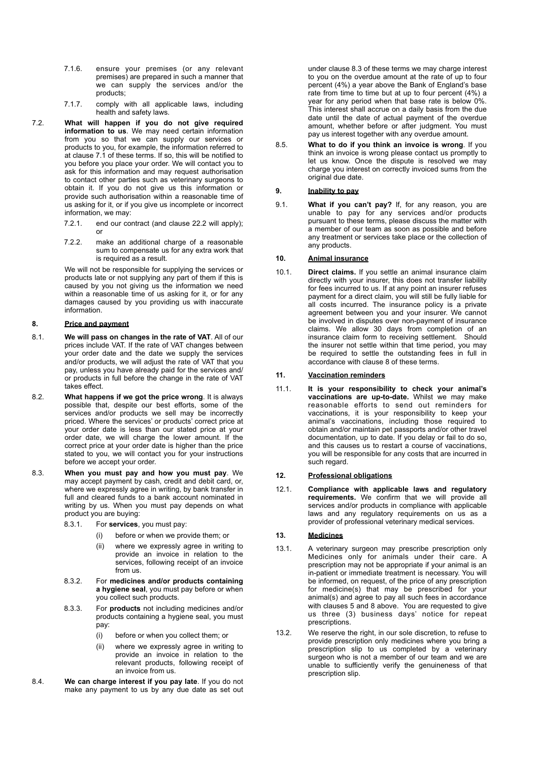- 7.1.6. ensure your premises (or any relevant premises) are prepared in such a manner that we can supply the services and/or the products;
- 7.1.7. comply with all applicable laws, including health and safety laws.
- 7.2. **What will happen if you do not give required information to us**. We may need certain information from you so that we can supply our services or products to you, for example, the information referred to at clause [7.1](#page-1-1) of these terms. If so, this will be notified to you before you place your order. We will contact you to ask for this information and may request authorisation to contact other parties such as veterinary surgeons to obtain it. If you do not give us this information or provide such authorisation within a reasonable time of us asking for it, or if you give us incomplete or incorrect information, we may:
	- 7.2.1. end our contract (and clause [22.2](#page-5-0) will apply); or
	- 7.2.2. make an additional charge of a reasonable sum to compensate us for any extra work that is required as a result.

We will not be responsible for supplying the services or products late or not supplying any part of them if this is caused by you not giving us the information we need within a reasonable time of us asking for it, or for any damages caused by you providing us with inaccurate information.

## <span id="page-2-3"></span>**8. Price and payment**

- 8.1. **We will pass on changes in the rate of VAT**. All of our prices include VAT. If the rate of VAT changes between your order date and the date we supply the services and/or products, we will adjust the rate of VAT that you pay, unless you have already paid for the services and/ or products in full before the change in the rate of VAT takes effect.
- 8.2. **What happens if we got the price wrong**. It is always possible that, despite our best efforts, some of the services and/or products we sell may be incorrectly priced. Where the services' or products' correct price at your order date is less than our stated price at your order date, we will charge the lower amount. If the correct price at your order date is higher than the price stated to you, we will contact you for your instructions before we accept your order.
- <span id="page-2-4"></span><span id="page-2-2"></span><span id="page-2-0"></span>8.3. **When you must pay and how you must pay**. We may accept payment by cash, credit and debit card, or, where we expressly agree in writing, by bank transfer in full and cleared funds to a bank account nominated in writing by us. When you must pay depends on what product you are buying:
	- 8.3.1. For **services**, you must pay:
		- (i) before or when we provide them; or
		- (ii) where we expressly agree in writing to provide an invoice in relation to the services, following receipt of an invoice from us.
	- 8.3.2. For **medicines and/or products containing a hygiene seal**, you must pay before or when you collect such products.
	- 8.3.3. For **products** not including medicines and/or products containing a hygiene seal, you must pay:
		- (i) before or when you collect them; or
		- (ii) where we expressly agree in writing to provide an invoice in relation to the relevant products, following receipt of an invoice from us.
- <span id="page-2-5"></span><span id="page-2-1"></span>8.4. **We can charge interest if you pay late**. If you do not make any payment to us by any due date as set out

under clause [8.3](#page-2-2) of these terms we may charge interest to you on the overdue amount at the rate of up to four percent (4%) a year above the Bank of England's base rate from time to time but at up to four percent (4%) a year for any period when that base rate is below 0%. This interest shall accrue on a daily basis from the due date until the date of actual payment of the overdue amount, whether before or after judgment. You must pay us interest together with any overdue amount.

8.5. **What to do if you think an invoice is wrong**. If you think an invoice is wrong please contact us promptly to let us know. Once the dispute is resolved we may charge you interest on correctly invoiced sums from the original due date.

## **9. Inability to pay**

9.1. **What if you can't pay?** If, for any reason, you are unable to pay for any services and/or products pursuant to these terms, please discuss the matter with a member of our team as soon as possible and before any treatment or services take place or the collection of any products.

## **10. Animal insurance**

10.1. **Direct claims.** If you settle an animal insurance claim directly with your insurer, this does not transfer liability for fees incurred to us. If at any point an insurer refuses payment for a direct claim, you will still be fully liable for all costs incurred. The insurance policy is a private agreement between you and your insurer. We cannot be involved in disputes over non-payment of insurance claims. We allow 30 days from completion of an insurance claim form to receiving settlement. Should the insurer not settle within that time period, you may be required to settle the outstanding fees in full in accordance with clause [8](#page-2-3) of these terms.

## **11. Vaccination reminders**

11.1. **It is your responsibility to check your animal's vaccinations are up-to-date.** Whilst we may make reasonable efforts to send out reminders for vaccinations, it is your responsibility to keep your animal's vaccinations, including those required to obtain and/or maintain pet passports and/or other travel documentation, up to date. If you delay or fail to do so, and this causes us to restart a course of vaccinations, you will be responsible for any costs that are incurred in such regard.

## **12. Professional obligations**

12.1. **Compliance with applicable laws and regulatory requirements.** We confirm that we will provide all services and/or products in compliance with applicable laws and any regulatory requirements on us as a provider of professional veterinary medical services.

### **13. Medicines**

- 13.1. A veterinary surgeon may prescribe prescription only Medicines only for animals under their care. A prescription may not be appropriate if your animal is an in-patient or immediate treatment is necessary. You will be informed, on request, of the price of any prescription for medicine(s) that may be prescribed for your animal(s) and agree to pay all such fees in accordance with clauses [5](#page-0-3) and [8](#page-2-3) above. You are requested to give us three (3) business days' notice for repeat prescriptions.
- 13.2. We reserve the right, in our sole discretion, to refuse to provide prescription only medicines where you bring a prescription slip to us completed by a veterinary surgeon who is not a member of our team and we are unable to sufficiently verify the genuineness of that prescription slip.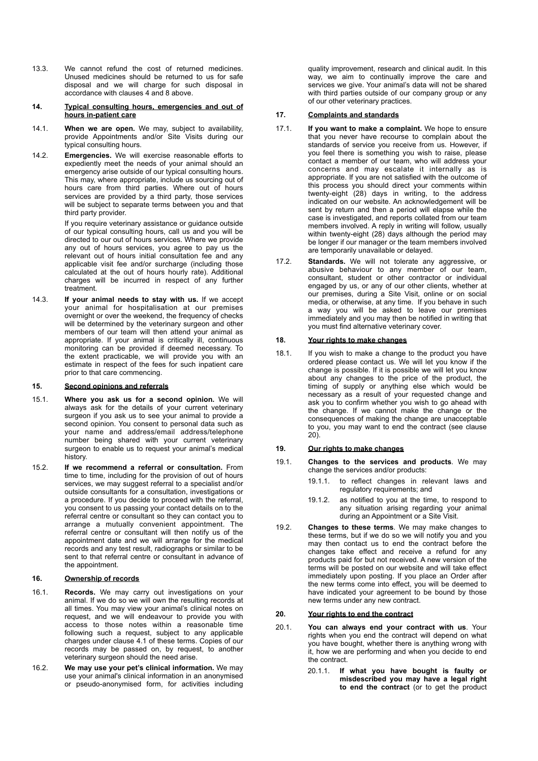- <span id="page-3-2"></span>13.3. We cannot refund the cost of returned medicines. Unused medicines should be returned to us for safe disposal and we will charge for such disposal in accordance with clauses [4](#page-0-4) and [8](#page-2-3) above.
- **14. Typical consulting hours, emergencies and out of hours in-patient care**
- 14.1. **When we are open.** We may, subject to availability, provide Appointments and/or Site Visits during our typical consulting hours.
- 14.2. **Emergencies.** We will exercise reasonable efforts to expediently meet the needs of your animal should an emergency arise outside of our typical consulting hours. This may, where appropriate, include us sourcing out of hours care from third parties. Where out of hours services are provided by a third party, those services will be subject to separate terms between you and that third party provider.

If you require veterinary assistance or guidance outside of our typical consulting hours, call us and you will be directed to our out of hours services. Where we provide any out of hours services, you agree to pay us the relevant out of hours initial consultation fee and any applicable visit fee and/or surcharge (including those calculated at the out of hours hourly rate). Additional charges will be incurred in respect of any further treatment.

14.3. **If your animal needs to stay with us.** If we accept your animal for hospitalisation at our premises overnight or over the weekend, the frequency of checks will be determined by the veterinary surgeon and other members of our team will then attend your animal as appropriate. If your animal is critically ill, continuous monitoring can be provided if deemed necessary. To the extent practicable, we will provide you with an estimate in respect of the fees for such inpatient care prior to that care commencing.

#### **15. Second opinions and referrals**

- 15.1. **Where you ask us for a second opinion.** We will always ask for the details of your current veterinary surgeon if you ask us to see your animal to provide a second opinion. You consent to personal data such as your name and address/email address/telephone number being shared with your current veterinary surgeon to enable us to request your animal's medical history.
- 15.2. **If we recommend a referral or consultation.** From time to time, including for the provision of out of hours services, we may suggest referral to a specialist and/or outside consultants for a consultation, investigations or a procedure. If you decide to proceed with the referral, you consent to us passing your contact details on to the referral centre or consultant so they can contact you to arrange a mutually convenient appointment. The referral centre or consultant will then notify us of the appointment date and we will arrange for the medical records and any test result, radiographs or similar to be sent to that referral centre or consultant in advance of the appointment.

## **16. Ownership of records**

- 16.1. **Records.** We may carry out investigations on your animal. If we do so we will own the resulting records at all times. You may view your animal's clinical notes on request, and we will endeavour to provide you with access to those notes within a reasonable time following such a request, subject to any applicable charges under clause [4.1](#page-0-5) of these terms. Copies of our records may be passed on, by request, to another veterinary surgeon should the need arise.
- 16.2. **We may use your pet's clinical information.** We may use your animal's clinical information in an anonymised or pseudo-anonymised form, for activities including

quality improvement, research and clinical audit. In this way, we aim to continually improve the care and services we give. Your animal's data will not be shared with third parties outside of our company group or any of our other veterinary practices.

## **17. Complaints and standards**

- 17.1. **If you want to make a complaint.** We hope to ensure that you never have recourse to complain about the standards of service you receive from us. However, if you feel there is something you wish to raise, please contact a member of our team, who will address your concerns and may escalate it internally as is appropriate. If you are not satisfied with the outcome of this process you should direct your comments within twenty-eight (28) days in writing, to the address indicated on our website. An acknowledgement will be sent by return and then a period will elapse while the case is investigated, and reports collated from our team members involved. A reply in writing will follow, usually within twenty-eight (28) days although the period may be longer if our manager or the team members involved are temporarily unavailable or delayed.
- <span id="page-3-1"></span>17.2. **Standards.** We will not tolerate any aggressive, or abusive behaviour to any member of our team, consultant, student or other contractor or individual engaged by us, or any of our other clients, whether at our premises, during a Site Visit, online or on social media, or otherwise, at any time. If you behave in such a way you will be asked to leave our premises immediately and you may then be notified in writing that you must find alternative veterinary cover.

## **18. Your rights to make changes**

18.1. If you wish to make a change to the product you have ordered please contact us. We will let you know if the change is possible. If it is possible we will let you know about any changes to the price of the product, the timing of supply or anything else which would be necessary as a result of your requested change and ask you to confirm whether you wish to go ahead with the change. If we cannot make the change or the consequences of making the change are unacceptable to you, you may want to end the contract (see clause 20).

## **19. Our rights to make changes**

- 19.1. **Changes to the services and products**. We may change the services and/or products:
	- 19.1.1. to reflect changes in relevant laws and regulatory requirements; and
	- 19.1.2. as notified to you at the time, to respond to any situation arising regarding your animal during an Appointment or a Site Visit.
- <span id="page-3-0"></span>19.2. **Changes to these terms**. We may make changes to these terms, but if we do so we will notify you and you may then contact us to end the contract before the changes take effect and receive a refund for any products paid for but not received. A new version of the terms will be posted on our website and will take effect immediately upon posting. If you place an Order after the new terms come into effect, you will be deemed to have indicated your agreement to be bound by those new terms under any new contract.

## **20. Your rights to end the contract**

- 20.1. **You can always end your contract with us**. Your rights when you end the contract will depend on what you have bought, whether there is anything wrong with it, how we are performing and when you decide to end the contract.
	- 20.1.1. **If what you have bought is faulty or misdescribed you may have a legal right to end the contract** (or to get the product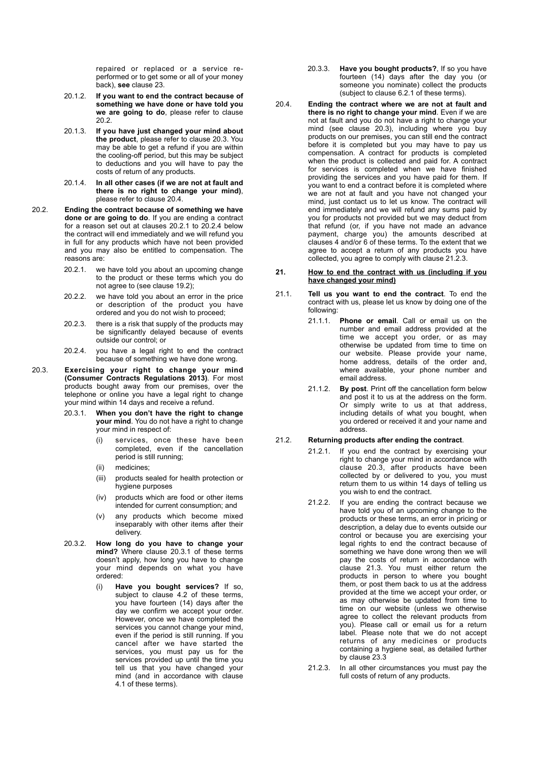repaired or replaced or a service reperformed or to get some or all of your money back), **see** clause 23.

- 20.1.2. **If you want to end the contract because of something we have done or have told you we are going to do**, please refer to clause [20.2.](#page-4-0)
- 20.1.3. **If you have just changed your mind about the product**, please refer to clause [20.3.](#page-4-1) You may be able to get a refund if you are within the cooling-off period, but this may be subject to deductions and you will have to pay the costs of return of any products.
- <span id="page-4-0"></span>20.1.4. **In all other cases (if we are not at fault and there is no right to change your mind)**, please refer to clause [20.4.](#page-4-2)
- <span id="page-4-3"></span>20.2. **Ending the contract because of something we have done or are going to do**. If you are ending a contract for a reason set out at clauses [20.2.1](#page-4-3) to [20.2.4](#page-4-4) below the contract will end immediately and we will refund you in full for any products which have not been provided and you may also be entitled to compensation. The reasons are:
	- 20.2.1. we have told you about an upcoming change to the product or these terms which you do not agree to (see clause [19.2\)](#page-3-0);
	- 20.2.2. we have told you about an error in the price or description of the product you have ordered and you do not wish to proceed;
	- 20.2.3. there is a risk that supply of the products may be significantly delayed because of events outside our control; or
	- 20.2.4. you have a legal right to end the contract because of something we have done wrong.
- <span id="page-4-8"></span><span id="page-4-6"></span><span id="page-4-5"></span><span id="page-4-4"></span><span id="page-4-1"></span>20.3. **Exercising your right to change your mind (Consumer Contracts Regulations 2013)**. For most products bought away from our premises, over the telephone or online you have a legal right to change your mind within 14 days and receive a refund.
	- 20.3.1. **When you don't have the right to change your mind**. You do not have a right to change your mind in respect of:
		- services, once these have been completed, even if the cancellation period is still running;
		- (ii) medicines;
		- (iii) products sealed for health protection or hygiene purposes
		- (iv) products which are food or other items intended for current consumption; and
		- (v) any products which become mixed inseparably with other items after their delivery.
	- 20.3.2. **How long do you have to change your mind?** Where clause [20.3.1](#page-4-5) of these terms doesn't apply, how long you have to change your mind depends on what you have ordered:
		- (i) **Have you bought services?** If so, subject to clause [4.2](#page-0-6) of these terms, you have fourteen (14) days after the day we confirm we accept your order. However, once we have completed the services you cannot change your mind, even if the period is still running. If you cancel after we have started the services, you must pay us for the services provided up until the time you tell us that you have changed your mind (and in accordance with clause [4.1](#page-0-5) of these terms).
- 20.3.3. **Have you bought products?**, If so you have fourteen (14) days after the day you (or someone you nominate) collect the products (subject to clause [6.2.1](#page-1-2) of these terms).
- <span id="page-4-2"></span>20.4. **Ending the contract where we are not at fault and there is no right to change your mind**. Even if we are not at fault and you do not have a right to change your mind (see clause [20.3](#page-4-6)), including where you buy products on our premises, you can still end the contract before it is completed but you may have to pay us compensation. A contract for products is completed when the product is collected and paid for. A contract for services is completed when we have finished providing the services and you have paid for them. If you want to end a contract before it is completed where we are not at fault and you have not changed your mind, just contact us to let us know. The contract will end immediately and we will refund any sums paid by you for products not provided but we may deduct from that refund (or, if you have not made an advance payment, charge you) the amounts described at clauses [4](#page-0-4) and/or [6](#page-1-3) of these terms. To the extent that we agree to accept a return of any products you have collected, you agree to comply with clause [21.2.3](#page-4-7).

### <span id="page-4-9"></span>**21. How to end the contract with us (including if you have changed your mind)**

- 21.1. **Tell us you want to end the contract**. To end the contract with us, please let us know by doing one of the following:
	- 21.1.1. **Phone or email**. Call or email us on the number and email address provided at the time we accept you order, or as may otherwise be updated from time to time on our website. Please provide your name, home address, details of the order and, where available, your phone number and email address.
	- 21.1.2. **By post**. Print off the cancellation form below and post it to us at the address on the form. Or simply write to us at that address, including details of what you bought, when you ordered or received it and your name and address.

## 21.2. **Returning products after ending the contract**.

- 21.2.1. If you end the contract by exercising your right to change your mind in accordance with clause [20.3](#page-4-8), after products have been collected by or delivered to you, you must return them to us within 14 days of telling us you wish to end the contract.
- 21.2.2. If you are ending the contract because we have told you of an upcoming change to the products or these terms, an error in pricing or description, a delay due to events outside our control or because you are exercising your legal rights to end the contract because of something we have done wrong then we will pay the costs of return in accordance with clause [21.3](#page-5-2). You must either return the products in person to where you bought them, or post them back to us at the address provided at the time we accept your order, or as may otherwise be updated from time to time on our website (unless we otherwise agree to collect the relevant products from you). Please call or email us for a return label. Please note that we do not accept returns of any medicines or products containing a hygiene seal, as detailed further by clause [23.3](#page-5-3)
- <span id="page-4-7"></span>21.2.3. In all other circumstances you must pay the full costs of return of any products.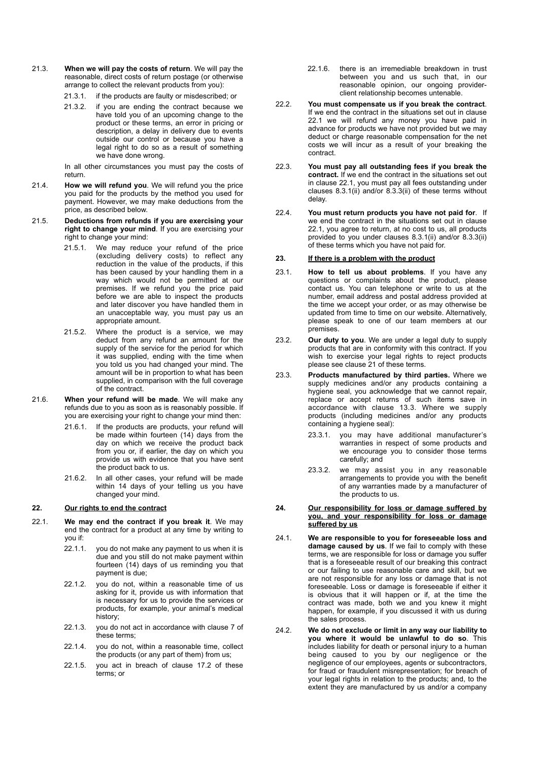- <span id="page-5-2"></span>21.3. **When we will pay the costs of return**. We will pay the reasonable, direct costs of return postage (or otherwise arrange to collect the relevant products from you):
	- 21.3.1. if the products are faulty or misdescribed; or
	- 21.3.2. if you are ending the contract because we have told you of an upcoming change to the product or these terms, an error in pricing or description, a delay in delivery due to events outside our control or because you have a legal right to do so as a result of something we have done wrong.

In all other circumstances you must pay the costs of return.

- 21.4. **How we will refund you**. We will refund you the price you paid for the products by the method you used for payment. However, we may make deductions from the price, as described below.
- 21.5. **Deductions from refunds if you are exercising your right to change your mind**. If you are exercising your right to change your mind:
	- 21.5.1. We may reduce your refund of the price (excluding delivery costs) to reflect any reduction in the value of the products, if this has been caused by your handling them in a way which would not be permitted at our premises. If we refund you the price paid before we are able to inspect the products and later discover you have handled them in an unacceptable way, you must pay us an appropriate amount.
	- 21.5.2. Where the product is a service, we may deduct from any refund an amount for the supply of the service for the period for which it was supplied, ending with the time when you told us you had changed your mind. The amount will be in proportion to what has been supplied, in comparison with the full coverage of the contract.
- 21.6. **When your refund will be made**. We will make any refunds due to you as soon as is reasonably possible. If you are exercising your right to change your mind then:
	- 21.6.1. If the products are products, your refund will be made within fourteen (14) days from the day on which we receive the product back from you or, if earlier, the day on which you provide us with evidence that you have sent the product back to us.
	- 21.6.2. In all other cases, your refund will be made within 14 days of your telling us you have changed your mind.

## **22. Our rights to end the contract**

- <span id="page-5-4"></span>22.1. **We may end the contract if you break it**. We may end the contract for a product at any time by writing to you if:
	- 22.1.1. you do not make any payment to us when it is due and you still do not make payment within fourteen (14) days of us reminding you that payment is due;
	- 22.1.2. you do not, within a reasonable time of us asking for it, provide us with information that is necessary for us to provide the services or products, for example, your animal's medical history;
	- 22.1.3. you do not act in accordance with clause [7](#page-1-4) of these terms;
	- 22.1.4. you do not, within a reasonable time, collect the products (or any part of them) from us;
	- 22.1.5. you act in breach of clause [17.2](#page-3-1) of these terms; or
- <span id="page-5-1"></span>22.1.6. there is an irremediable breakdown in trust between you and us such that, in our reasonable opinion, our ongoing providerclient relationship becomes untenable.
- <span id="page-5-0"></span>22.2. **You must compensate us if you break the contract**. If we end the contract in the situations set out in clause [22.1](#page-5-4) we will refund any money you have paid in advance for products we have not provided but we may deduct or charge reasonable compensation for the net costs we will incur as a result of your breaking the contract.
- 22.3. **You must pay all outstanding fees if you break the contract.** If we end the contract in the situations set out in clause [22.1,](#page-5-4) you must pay all fees outstanding under clauses [8.3.1\(ii\)](#page-2-4) and/or [8.3.3\(ii\)](#page-2-5) of these terms without delay.
- 22.4. **You must return products you have not paid for**. If we end the contract in the situations set out in clause [22.1](#page-5-4), you agree to return, at no cost to us, all products provided to you under clauses [8.3.1\(ii\)](#page-2-4) and/or [8.3.3\(ii\)](#page-2-5) of these terms which you have not paid for.

#### **23. If there is a problem with the product**

- 23.1. **How to tell us about problems**. If you have any questions or complaints about the product, please contact us. You can telephone or write to us at the number, email address and postal address provided at the time we accept your order, or as may otherwise be updated from time to time on our website. Alternatively, please speak to one of our team members at our premises.
- 23.2. **Our duty to you**. We are under a legal duty to supply products that are in conformity with this contract. If you wish to exercise your legal rights to reject products please see clause [21](#page-4-9) of these terms.
- <span id="page-5-3"></span>23.3. **Products manufactured by third parties.** Where we supply medicines and/or any products containing a hygiene seal, you acknowledge that we cannot repair, replace or accept returns of such items save in accordance with clause [13.3](#page-3-2). Where we supply products (including medicines and/or any products containing a hygiene seal):
	- 23.3.1. you may have additional manufacturer's warranties in respect of some products and we encourage you to consider those terms carefully; and
	- 23.3.2. we may assist you in any reasonable arrangements to provide you with the benefit of any warranties made by a manufacturer of the products to us.
- **24. Our responsibility for loss or damage suffered by you, and your responsibility for loss or damage suffered by us**
- 24.1. **We are responsible to you for foreseeable loss and damage caused by us**. If we fail to comply with these terms, we are responsible for loss or damage you suffer that is a foreseeable result of our breaking this contract or our failing to use reasonable care and skill, but we are not responsible for any loss or damage that is not foreseeable. Loss or damage is foreseeable if either it is obvious that it will happen or if, at the time the contract was made, both we and you knew it might happen, for example, if you discussed it with us during the sales process.
- 24.2. **We do not exclude or limit in any way our liability to you where it would be unlawful to do so**. This includes liability for death or personal injury to a human being caused to you by our negligence or the negligence of our employees, agents or subcontractors, for fraud or fraudulent misrepresentation; for breach of your legal rights in relation to the products; and, to the extent they are manufactured by us and/or a company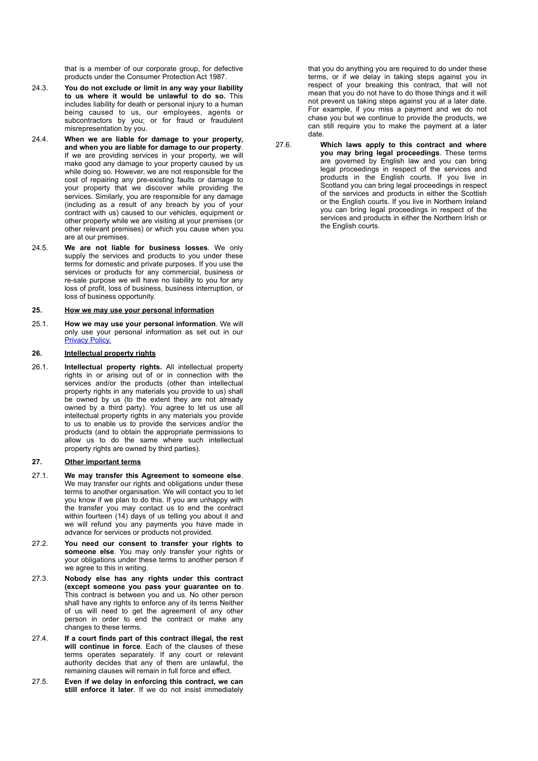that is a member of our corporate group, for defective products under the Consumer Protection Act 1987.

- 24.3. **You do not exclude or limit in any way your liability to us where it would be unlawful to do so.** This includes liability for death or personal injury to a human being caused to us, our employees, agents or subcontractors by you; or for fraud or fraudulent misrepresentation by you.
- 24.4. **When we are liable for damage to your property, and when you are liable for damage to our property**. If we are providing services in your property, we will make good any damage to your property caused by us while doing so. However, we are not responsible for the cost of repairing any pre-existing faults or damage to your property that we discover while providing the services. Similarly, you are responsible for any damage (including as a result of any breach by you of your contract with us) caused to our vehicles, equipment or other property while we are visiting at your premises (or other relevant premises) or which you cause when you are at our premises.
- 24.5. **We are not liable for business losses**. We only supply the services and products to you under these terms for domestic and private purposes. If you use the services or products for any commercial, business or re-sale purpose we will have no liability to you for any loss of profit, loss of business, business interruption, or loss of business opportunity.

#### **25. How we may use your personal information**

25.1. **How we may use your personal information**. We will only use your personal information as set out in our **[Privacy Policy.](https://vetpartnersmarketing.wixsite.com/stringer-equine/privacy-policy)** 

#### **26. Intellectual property rights**

26.1. **Intellectual property rights.** All intellectual property rights in or arising out of or in connection with the services and/or the products (other than intellectual property rights in any materials you provide to us) shall be owned by us (to the extent they are not already owned by a third party). You agree to let us use all intellectual property rights in any materials you provide to us to enable us to provide the services and/or the products (and to obtain the appropriate permissions to allow us to do the same where such intellectual property rights are owned by third parties).

## **27. Other important terms**

- 27.1. **We may transfer this Agreement to someone else**. We may transfer our rights and obligations under these terms to another organisation. We will contact you to let you know if we plan to do this. If you are unhappy with the transfer you may contact us to end the contract within fourteen (14) days of us telling you about it and we will refund you any payments you have made in advance for services or products not provided.
- 27.2. **You need our consent to transfer your rights to someone else**. You may only transfer your rights or your obligations under these terms to another person if we agree to this in writing.
- 27.3. **Nobody else has any rights under this contract (except someone you pass your guarantee on to**. This contract is between you and us. No other person shall have any rights to enforce any of its terms Neither of us will need to get the agreement of any other person in order to end the contract or make any changes to these terms.
- 27.4. **If a court finds part of this contract illegal, the rest will continue in force**. Each of the clauses of these terms operates separately. If any court or relevant authority decides that any of them are unlawful, the remaining clauses will remain in full force and effect.
- 27.5. **Even if we delay in enforcing this contract, we can**  still enforce it later. If we do not insist immediately

that you do anything you are required to do under these terms, or if we delay in taking steps against you in respect of your breaking this contract, that will not mean that you do not have to do those things and it will not prevent us taking steps against you at a later date. For example, if you miss a payment and we do not chase you but we continue to provide the products, we can still require you to make the payment at a later date.

27.6. **Which laws apply to this contract and where you may bring legal proceedings**. These terms are governed by English law and you can bring legal proceedings in respect of the services and products in the English courts. If you live in Scotland you can bring legal proceedings in respect of the services and products in either the Scottish or the English courts. If you live in Northern Ireland you can bring legal proceedings in respect of the services and products in either the Northern Irish or the English courts.